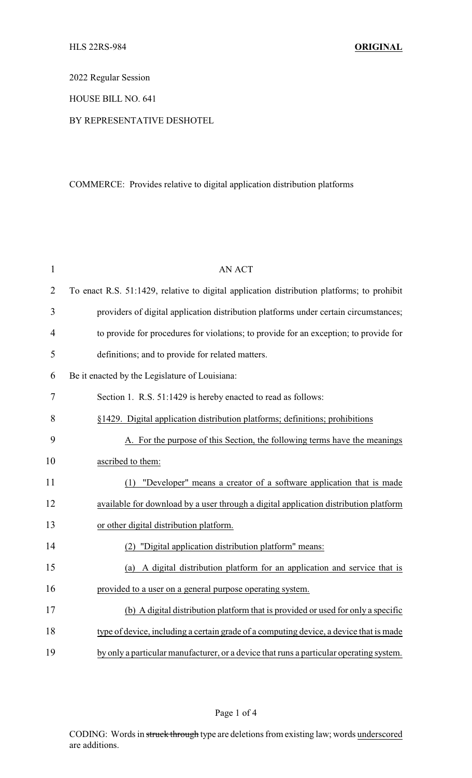2022 Regular Session

HOUSE BILL NO. 641

## BY REPRESENTATIVE DESHOTEL

## COMMERCE: Provides relative to digital application distribution platforms

| $\mathbf{1}$   | <b>AN ACT</b>                                                                              |
|----------------|--------------------------------------------------------------------------------------------|
| $\overline{2}$ | To enact R.S. 51:1429, relative to digital application distribution platforms; to prohibit |
| 3              | providers of digital application distribution platforms under certain circumstances;       |
| $\overline{4}$ | to provide for procedures for violations; to provide for an exception; to provide for      |
| 5              | definitions; and to provide for related matters.                                           |
| 6              | Be it enacted by the Legislature of Louisiana:                                             |
| 7              | Section 1. R.S. 51:1429 is hereby enacted to read as follows:                              |
| 8              | §1429. Digital application distribution platforms; definitions; prohibitions               |
| 9              | A. For the purpose of this Section, the following terms have the meanings                  |
| 10             | ascribed to them:                                                                          |
| 11             | (1) "Developer" means a creator of a software application that is made                     |
| 12             | available for download by a user through a digital application distribution platform       |
| 13             | or other digital distribution platform.                                                    |
| 14             | (2) "Digital application distribution platform" means:                                     |
| 15             | (a) A digital distribution platform for an application and service that is                 |
| 16             | provided to a user on a general purpose operating system.                                  |
| 17             | (b) A digital distribution platform that is provided or used for only a specific           |
| 18             | type of device, including a certain grade of a computing device, a device that is made     |
| 19             | by only a particular manufacturer, or a device that runs a particular operating system.    |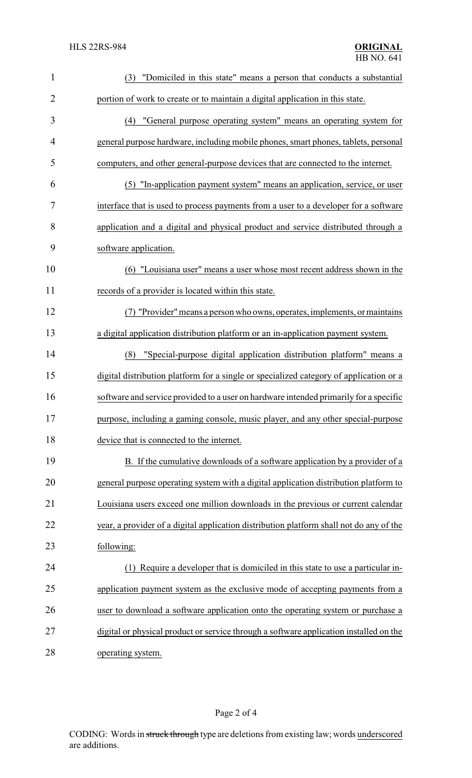| $\mathbf{1}$   | "Domiciled in this state" means a person that conducts a substantial<br>(3)             |
|----------------|-----------------------------------------------------------------------------------------|
| $\overline{2}$ | portion of work to create or to maintain a digital application in this state.           |
| 3              | "General purpose operating system" means an operating system for<br>(4)                 |
| 4              | general purpose hardware, including mobile phones, smart phones, tablets, personal      |
| 5              | computers, and other general-purpose devices that are connected to the internet.        |
| 6              | "In-application payment system" means an application, service, or user<br>(5)           |
| 7              | interface that is used to process payments from a user to a developer for a software    |
| 8              | application and a digital and physical product and service distributed through a        |
| 9              | software application.                                                                   |
| 10             | "Louisiana user" means a user whose most recent address shown in the<br>(6)             |
| 11             | records of a provider is located within this state.                                     |
| 12             | (7) "Provider" means a person who owns, operates, implements, or maintains              |
| 13             | a digital application distribution platform or an in-application payment system.        |
| 14             | "Special-purpose digital application distribution platform" means a<br>(8)              |
| 15             | digital distribution platform for a single or specialized category of application or a  |
| 16             | software and service provided to a user on hardware intended primarily for a specific   |
| 17             | purpose, including a gaming console, music player, and any other special-purpose        |
| 18             | device that is connected to the internet.                                               |
| 19             | B. If the cumulative downloads of a software application by a provider of a             |
| 20             | general purpose operating system with a digital application distribution platform to    |
| 21             | Louisiana users exceed one million downloads in the previous or current calendar        |
| 22             | year, a provider of a digital application distribution platform shall not do any of the |
| 23             | following:                                                                              |
| 24             | Require a developer that is domiciled in this state to use a particular in-<br>(1)      |
| 25             | application payment system as the exclusive mode of accepting payments from a           |
| 26             | user to download a software application onto the operating system or purchase a         |
| 27             | digital or physical product or service through a software application installed on the  |
| 28             | operating system.                                                                       |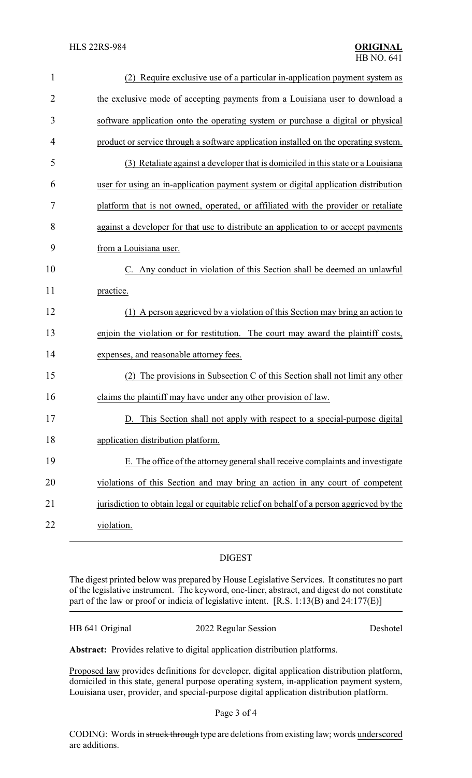| $\mathbf{1}$   | (2) Require exclusive use of a particular in-application payment system as              |
|----------------|-----------------------------------------------------------------------------------------|
| $\overline{2}$ | the exclusive mode of accepting payments from a Louisiana user to download a            |
| 3              | software application onto the operating system or purchase a digital or physical        |
| 4              | product or service through a software application installed on the operating system.    |
| 5              | (3) Retaliate against a developer that is domiciled in this state or a Louisiana        |
| 6              | user for using an in-application payment system or digital application distribution     |
| 7              | platform that is not owned, operated, or affiliated with the provider or retaliate      |
| 8              | against a developer for that use to distribute an application to or accept payments     |
| 9              | from a Louisiana user.                                                                  |
| 10             | C. Any conduct in violation of this Section shall be deemed an unlawful                 |
| 11             | practice.                                                                               |
| 12             | (1) A person aggrieved by a violation of this Section may bring an action to            |
| 13             | enjoin the violation or for restitution. The court may award the plaintiff costs,       |
| 14             | expenses, and reasonable attorney fees.                                                 |
| 15             | The provisions in Subsection C of this Section shall not limit any other                |
| 16             | claims the plaintiff may have under any other provision of law.                         |
| 17             | D. This Section shall not apply with respect to a special-purpose digital               |
| 18             | application distribution platform.                                                      |
| 19             | E. The office of the attorney general shall receive complaints and investigate          |
| 20             | violations of this Section and may bring an action in any court of competent            |
| 21             | jurisdiction to obtain legal or equitable relief on behalf of a person aggrieved by the |
| 22             | violation.                                                                              |

## DIGEST

The digest printed below was prepared by House Legislative Services. It constitutes no part of the legislative instrument. The keyword, one-liner, abstract, and digest do not constitute part of the law or proof or indicia of legislative intent. [R.S. 1:13(B) and 24:177(E)]

| HB 641 Original | 2022 Regular Session | Deshotel |
|-----------------|----------------------|----------|
|-----------------|----------------------|----------|

**Abstract:** Provides relative to digital application distribution platforms.

Proposed law provides definitions for developer, digital application distribution platform, domiciled in this state, general purpose operating system, in-application payment system, Louisiana user, provider, and special-purpose digital application distribution platform.

Page 3 of 4

CODING: Words in struck through type are deletions from existing law; words underscored are additions.